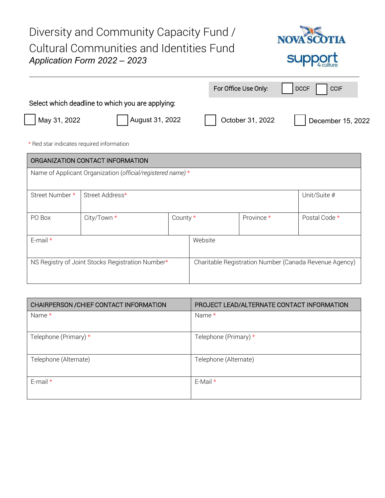Diversity and Community Capacity Fund / **NOV TTA** Cultural Communities and Identities Fund *Application Form 2022 – 2023*  SI For Office Use Only: | | DCCF | | CCIF Select which deadline to which you are applying: May 31, 2022 **August 31, 2022 August 31, 2022 August 31, 2022** December 15, 2022

\* Red star indicates required information

| ORGANIZATION CONTACT INFORMATION                            |                                 |                                                        |  |            |               |
|-------------------------------------------------------------|---------------------------------|--------------------------------------------------------|--|------------|---------------|
| Name of Applicant Organization (official/registered name) * |                                 |                                                        |  |            |               |
| Street Number *                                             | Street Address*<br>Unit/Suite # |                                                        |  |            |               |
| PO Box                                                      | City/Town *                     | County $*$                                             |  | Province * | Postal Code * |
| E-mail $*$                                                  |                                 | Website                                                |  |            |               |
| NS Registry of Joint Stocks Registration Number*            |                                 | Charitable Registration Number (Canada Revenue Agency) |  |            |               |

| CHAIRPERSON / CHIEF CONTACT INFORMATION | PROJECT LEAD/ALTERNATE CONTACT INFORMATION |  |  |
|-----------------------------------------|--------------------------------------------|--|--|
| Name $*$                                | Name $*$                                   |  |  |
| Telephone (Primary) *                   | Telephone (Primary) *                      |  |  |
| Telephone (Alternate)                   | Telephone (Alternate)                      |  |  |
| E-mail $*$                              | E-Mail $*$                                 |  |  |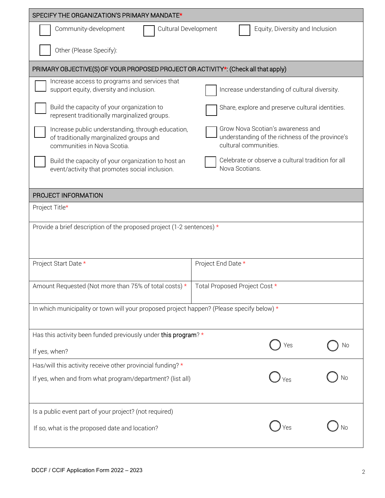| SPECIFY THE ORGANIZATION'S PRIMARY MANDATE*                                                                                  |                    |                                                                                                               |    |  |
|------------------------------------------------------------------------------------------------------------------------------|--------------------|---------------------------------------------------------------------------------------------------------------|----|--|
| Community-development<br>Equity, Diversity and Inclusion<br>Cultural Development                                             |                    |                                                                                                               |    |  |
| Other (Please Specify):                                                                                                      |                    |                                                                                                               |    |  |
| PRIMARY OBJECTIVE(S) OF YOUR PROPOSED PROJECT OR ACTIVITY*: (Check all that apply)                                           |                    |                                                                                                               |    |  |
| Increase access to programs and services that<br>support equity, diversity and inclusion.                                    |                    | Increase understanding of cultural diversity.                                                                 |    |  |
| Build the capacity of your organization to<br>represent traditionally marginalized groups.                                   |                    | Share, explore and preserve cultural identities.                                                              |    |  |
| Increase public understanding, through education,<br>of traditionally marginalized groups and<br>communities in Nova Scotia. |                    | Grow Nova Scotian's awareness and<br>understanding of the richness of the province's<br>cultural communities. |    |  |
| Build the capacity of your organization to host an<br>event/activity that promotes social inclusion.                         |                    | Celebrate or observe a cultural tradition for all<br>Nova Scotians.                                           |    |  |
| PROJECT INFORMATION                                                                                                          |                    |                                                                                                               |    |  |
| Project Title*                                                                                                               |                    |                                                                                                               |    |  |
| Provide a brief description of the proposed project (1-2 sentences) $*$                                                      |                    |                                                                                                               |    |  |
| Project Start Date *                                                                                                         | Project End Date * |                                                                                                               |    |  |
| Amount Requested (Not more than 75% of total costs) *<br>Total Proposed Project Cost *                                       |                    |                                                                                                               |    |  |
| In which municipality or town will your proposed project happen? (Please specify below) *                                    |                    |                                                                                                               |    |  |
| Has this activity been funded previously under this program? *                                                               |                    | Yes                                                                                                           | No |  |
| If yes, when?                                                                                                                |                    |                                                                                                               |    |  |
| Has/will this activity receive other provincial funding? *                                                                   |                    |                                                                                                               |    |  |
| If yes, when and from what program/department? (list all)                                                                    |                    |                                                                                                               | No |  |
| Is a public event part of your project? (not required)                                                                       |                    |                                                                                                               |    |  |
| If so, what is the proposed date and location?                                                                               |                    |                                                                                                               |    |  |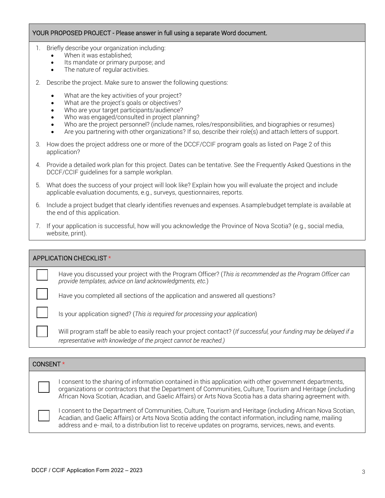#### YOUR PROPOSED PROJECT - Please answer in full using a separate Word document.

- 1. Briefly describe your organization including:
	- When it was established:
	- Its mandate or primary purpose; and
	- The nature of regular activities.
- 2. Describe the project. Make sure to answer the following questions:
	- What are the key activities of your project?
	- What are the project's goals or objectives?
	- Who are your target participants/audience?
	- Who was engaged/consulted in project planning?
	- Who are the project personnel? (include names, roles/responsibilities, and biographies or resumes)
	- Are you partnering with other organizations? If so, describe their role(s) and attach letters of support.
- 3. How does the project address one or more of the DCCF/CCIF program goals as listed on Page 2 of this application?
- 4. Provide a detailed work plan for this project. Dates can be tentative. See the Frequently Asked Questions in the DCCF/CCIF guidelines for a sample workplan.
- 5. What does the success of your project will look like? Explain how you will evaluate the project and include applicable evaluation documents, e.g., surveys, questionnaires, reports.
- 6. Include a project budget that clearly identifies revenues and expenses. Asample budget template is available at the end of this application.
- 7. If your application is successful, how will you acknowledge the Province of Nova Scotia? (e.g., social media, website, print).

| APPLICATION CHECKLIST * |                                                                                                                                                                                       |  |  |
|-------------------------|---------------------------------------------------------------------------------------------------------------------------------------------------------------------------------------|--|--|
|                         | Have you discussed your project with the Program Officer? (This is recommended as the Program Officer can<br>provide templates, advice on land acknowledgments, etc.)                 |  |  |
|                         | Have you completed all sections of the application and answered all questions?                                                                                                        |  |  |
|                         | Is your application signed? (This is required for processing your application)                                                                                                        |  |  |
|                         | Will program staff be able to easily reach your project contact? (If successful, your funding may be delayed if a<br>representative with knowledge of the project cannot be reached.) |  |  |
|                         |                                                                                                                                                                                       |  |  |

### CONSENT \*

I consent to the sharing of information contained in this application with other government departments, organizations or contractors that the Department of Communities, Culture, Tourism and Heritage (including African Nova Scotian, Acadian, and Gaelic Affairs) or Arts Nova Scotia has a data sharing agreement with.

I consent to the Department of Communities, Culture, Tourism and Heritage (including African Nova Scotian, Acadian, and Gaelic Affairs) or Arts Nova Scotia adding the contact information, including name, mailing address and e- mail, to a distribution list to receive updates on programs, services, news, and events.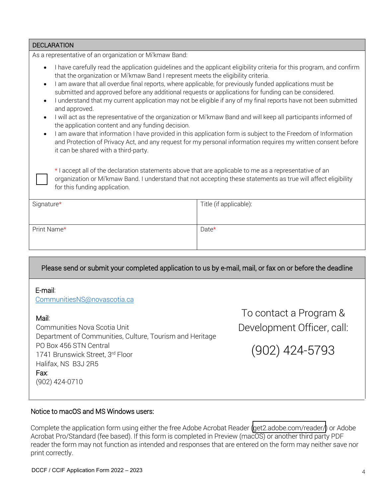| <b>DECLARATION</b>                                                                                                                                                                                                                                                                                                                                                                                                                                                                                                                                                                                                                                                                                                                                                                                                                                                                                                                                                                                                  |                        |  |  |
|---------------------------------------------------------------------------------------------------------------------------------------------------------------------------------------------------------------------------------------------------------------------------------------------------------------------------------------------------------------------------------------------------------------------------------------------------------------------------------------------------------------------------------------------------------------------------------------------------------------------------------------------------------------------------------------------------------------------------------------------------------------------------------------------------------------------------------------------------------------------------------------------------------------------------------------------------------------------------------------------------------------------|------------------------|--|--|
| As a representative of an organization or Mi'kmaw Band:                                                                                                                                                                                                                                                                                                                                                                                                                                                                                                                                                                                                                                                                                                                                                                                                                                                                                                                                                             |                        |  |  |
| I have carefully read the application guidelines and the applicant eligibility criteria for this program, and confirm<br>that the organization or Mi'kmaw Band I represent meets the eligibility criteria.<br>I am aware that all overdue final reports, where applicable, for previously funded applications must be<br>submitted and approved before any additional requests or applications for funding can be considered.<br>I understand that my current application may not be eligible if any of my final reports have not been submitted<br>and approved.<br>I will act as the representative of the organization or Mi'kmaw Band and will keep all participants informed of<br>the application content and any funding decision.<br>I am aware that information I have provided in this application form is subject to the Freedom of Information<br>and Protection of Privacy Act, and any request for my personal information requires my written consent before<br>it can be shared with a third-party. |                        |  |  |
| * I accept all of the declaration statements above that are applicable to me as a representative of an<br>organization or Mi'kmaw Band. I understand that not accepting these statements as true will affect eligibility<br>for this funding application.                                                                                                                                                                                                                                                                                                                                                                                                                                                                                                                                                                                                                                                                                                                                                           |                        |  |  |
| Signature*                                                                                                                                                                                                                                                                                                                                                                                                                                                                                                                                                                                                                                                                                                                                                                                                                                                                                                                                                                                                          | Title (if applicable): |  |  |
| Print Name*                                                                                                                                                                                                                                                                                                                                                                                                                                                                                                                                                                                                                                                                                                                                                                                                                                                                                                                                                                                                         | Date*                  |  |  |

## Please send or submit your completed application to us by e-mail, mail, or fax on or before the deadline

#### E-mail:

CommunitiesNS@novascotia.ca

#### Mail:

Communities Nova Scotia Unit Department of Communities, Culture, Tourism and Heritage PO Box 456 STN Central 1741 Brunswick Street, 3rd Floor Halifax, NS B3J 2R5 Fax: (902) 424-0710

[To](mailto:CommunitiesNS@novascotia.ca) contact a Program & Development Officer, call:

(902) 424-5793

#### Notice to macOS and MS Windows users:

Complete the application form using either the free Adobe Acrobat Reader [\(get2.adobe.com/reader/\)](get2.adobe.com/reader/) or Adobe Acrobat Pro/Standard (fee based). If this form is completed in Preview (macOS) or another third party PDF reader the form may not function as intended and responses that are entered on the form may neither save nor print correctly.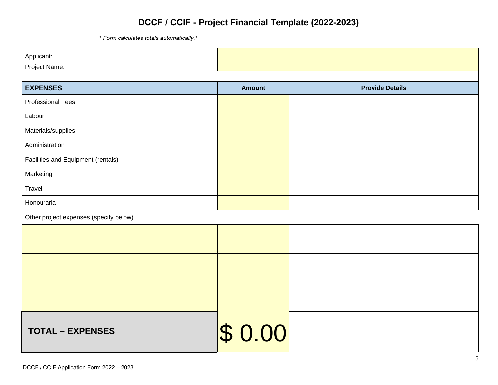# **DCCF / CCIF - Project Financial Template (2022-2023)**

*\* Form calculates totals automatically.\**

| Applicant:                               |               |                        |
|------------------------------------------|---------------|------------------------|
| Project Name:                            |               |                        |
|                                          |               |                        |
| <b>EXPENSES</b>                          | <b>Amount</b> | <b>Provide Details</b> |
| <b>Professional Fees</b>                 |               |                        |
| Labour                                   |               |                        |
| Materials/supplies                       |               |                        |
| Administration                           |               |                        |
| Facilities and Equipment (rentals)       |               |                        |
| Marketing                                |               |                        |
| Travel                                   |               |                        |
| Honouraria                               |               |                        |
| Other project expenses (specify below)   |               |                        |
|                                          |               |                        |
|                                          |               |                        |
|                                          |               |                        |
|                                          |               |                        |
|                                          |               |                        |
|                                          |               |                        |
|                                          |               |                        |
| <b>TOTAL - EXPENSES</b>                  | \$0.00        |                        |
|                                          |               |                        |
| DCCF / CCIF Application Form 2022 - 2023 |               | 5                      |